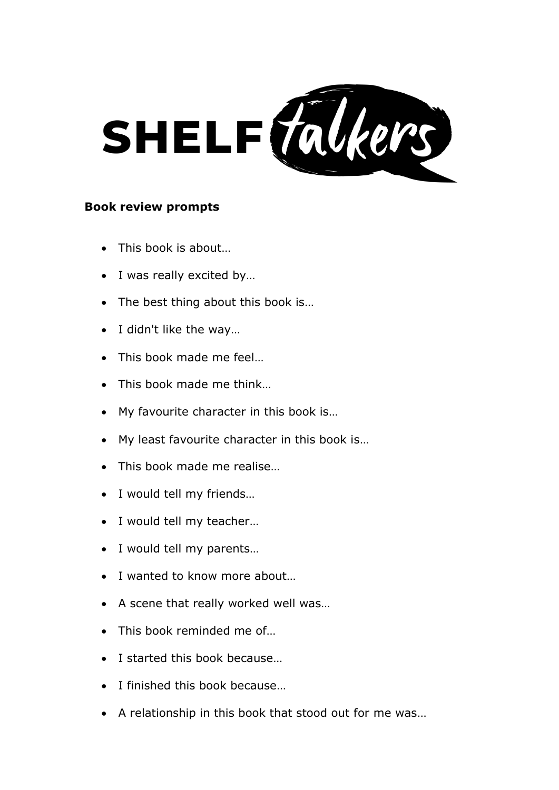

## **Book review prompts**

- This book is about…
- I was really excited by…
- The best thing about this book is...
- I didn't like the way…
- This book made me feel...
- This book made me think...
- My favourite character in this book is…
- My least favourite character in this book is…
- This book made me realise...
- I would tell my friends…
- I would tell my teacher…
- I would tell my parents…
- I wanted to know more about...
- A scene that really worked well was…
- This book reminded me of...
- I started this book because…
- I finished this book because...
- A relationship in this book that stood out for me was…